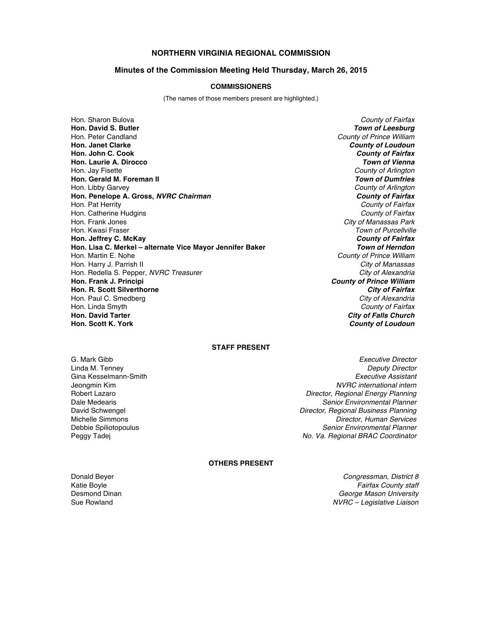# **NORTHERN VIRGINIA REGIONAL COMMISSION**

### **Minutes of the Commission Meeting Held Thursday, March 26, 2015**

### **COMMISSIONERS**

(The names of those members present are highlighted.)

Hon. Sharon Bulova *County of Fairfax* Hon. Peter Candland *County of Prince William* **Hon. Janet Clarke** *County of Loudoun* **Hon. John C. Cook** *County of Fairfax* **Hon. Laurie A. Dirocco** *Town of Vienna* Hon. Jay Fisette *County of Arlington* **Hon. Gerald M. Foreman II** Hon. Libby Garvey *County of Arlington* **Hon. Penelope A. Gross,** *NVRC Chairman County of Fairfax* Hon. Pat Herrity *County of Fairfax* Hon. Catherine Hudgins *County of Fairfax* Hon. Frank Jones *City of Manassas Park* Hon. Kwasi Fraser *Town of Purcellville* **Hon. Jeffrey C. McKay** *County of Fairfax* **Hon. Lisa C. Merkel – alternate Vice Mayor Jennifer Baker** *Town of Herndon* Hon. Martin E. Nohe *County of Prince William* Hon. Harry J. Parrish II *City of Manassas* Hon. Redella S. Pepper, *NVRC Treasurer* City of Alexandria City of Alexandria<br> **Hon. Frank J. Principi** County of Prince William **Hon. R. Scott Silverthorne** *City of Fairfax* Hon. Paul C. Smedberg Hon. Linda Smyth *County of Fairfax* **Hon. David Tarter** *City of Falls Church*

**Town of Leesburg County of Prince William County of Loudoun** 

## **STAFF PRESENT**

G. Mark Gibb *Executive Director* Linda M. Tenney *Deputy Director* Gina Kesselmann-Smith *Executive Assistant* Jeongmin Kim *NVRC international intern* Robert Lazaro *Director, Regional Energy Planning* **Senior Environmental Planner** David Schwengel *Director, Regional Business Planning* Michelle Simmons *Director, Human Services* **Senior Environmental Planner** Peggy Tadej *No. Va. Regional BRAC Coordinator*

#### **OTHERS PRESENT**

Donald Beyer *Congressman, District 8* Katie Boyle *Fairfax County staff* Desmond Dinan *George Mason University* Sue Rowland *NVRC – Legislative Liaison*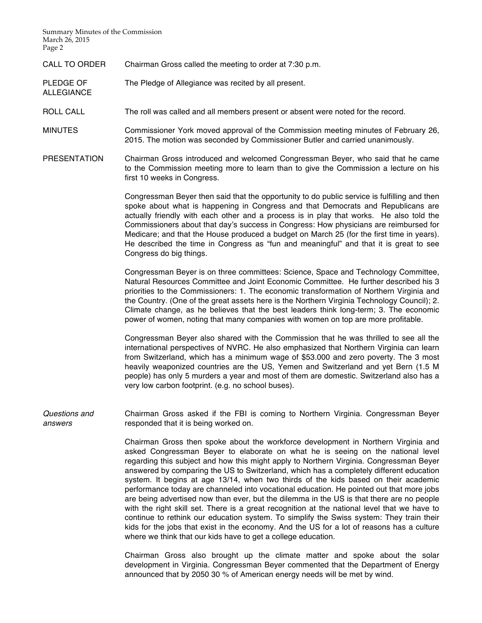Summary Minutes of the Commission March 26, 2015 Page 2

ALLEGIANCE

CALL TO ORDER Chairman Gross called the meeting to order at 7:30 p.m.

PLEDGE OF The Pledge of Allegiance was recited by all present.

ROLL CALL The roll was called and all members present or absent were noted for the record.

- MINUTES Commissioner York moved approval of the Commission meeting minutes of February 26, 2015. The motion was seconded by Commissioner Butler and carried unanimously.
- PRESENTATION Chairman Gross introduced and welcomed Congressman Beyer, who said that he came to the Commission meeting more to learn than to give the Commission a lecture on his first 10 weeks in Congress.

Congressman Beyer then said that the opportunity to do public service is fulfilling and then spoke about what is happening in Congress and that Democrats and Republicans are actually friendly with each other and a process is in play that works. He also told the Commissioners about that day's success in Congress: How physicians are reimbursed for Medicare; and that the House produced a budget on March 25 (for the first time in years). He described the time in Congress as "fun and meaningful" and that it is great to see Congress do big things.

Congressman Beyer is on three committees: Science, Space and Technology Committee, Natural Resources Committee and Joint Economic Committee. He further described his 3 priorities to the Commissioners: 1. The economic transformation of Northern Virginia and the Country. (One of the great assets here is the Northern Virginia Technology Council); 2. Climate change, as he believes that the best leaders think long-term; 3. The economic power of women, noting that many companies with women on top are more profitable.

Congressman Beyer also shared with the Commission that he was thrilled to see all the international perspectives of NVRC. He also emphasized that Northern Virginia can learn from Switzerland, which has a minimum wage of \$53.000 and zero poverty. The 3 most heavily weaponized countries are the US, Yemen and Switzerland and yet Bern (1.5 M people) has only 5 murders a year and most of them are domestic. Switzerland also has a very low carbon footprint. (e.g. no school buses).

*Questions and answers* Chairman Gross asked if the FBI is coming to Northern Virginia. Congressman Beyer responded that it is being worked on.

> Chairman Gross then spoke about the workforce development in Northern Virginia and asked Congressman Beyer to elaborate on what he is seeing on the national level regarding this subject and how this might apply to Northern Virginia. Congressman Beyer answered by comparing the US to Switzerland, which has a completely different education system. It begins at age 13/14, when two thirds of the kids based on their academic performance today are channeled into vocational education. He pointed out that more jobs are being advertised now than ever, but the dilemma in the US is that there are no people with the right skill set. There is a great recognition at the national level that we have to continue to rethink our education system. To simplify the Swiss system: They train their kids for the jobs that exist in the economy. And the US for a lot of reasons has a culture where we think that our kids have to get a college education.

> Chairman Gross also brought up the climate matter and spoke about the solar development in Virginia. Congressman Beyer commented that the Department of Energy announced that by 2050 30 % of American energy needs will be met by wind.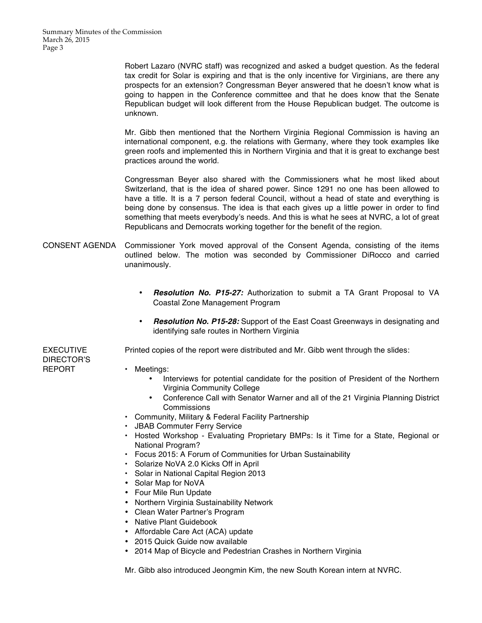Robert Lazaro (NVRC staff) was recognized and asked a budget question. As the federal tax credit for Solar is expiring and that is the only incentive for Virginians, are there any prospects for an extension? Congressman Beyer answered that he doesn't know what is going to happen in the Conference committee and that he does know that the Senate Republican budget will look different from the House Republican budget. The outcome is unknown.

Mr. Gibb then mentioned that the Northern Virginia Regional Commission is having an international component, e.g. the relations with Germany, where they took examples like green roofs and implemented this in Northern Virginia and that it is great to exchange best practices around the world.

Congressman Beyer also shared with the Commissioners what he most liked about Switzerland, that is the idea of shared power. Since 1291 no one has been allowed to have a title. It is a 7 person federal Council, without a head of state and everything is being done by consensus. The idea is that each gives up a little power in order to find something that meets everybody's needs. And this is what he sees at NVRC, a lot of great Republicans and Democrats working together for the benefit of the region.

- CONSENT AGENDA Commissioner York moved approval of the Consent Agenda, consisting of the items outlined below. The motion was seconded by Commissioner DiRocco and carried unanimously.
	- *Resolution No. P15-27:* Authorization to submit a TA Grant Proposal to VA Coastal Zone Management Program
	- *Resolution No. P15-28:* Support of the East Coast Greenways in designating and identifying safe routes in Northern Virginia

Printed copies of the report were distributed and Mr. Gibb went through the slides:

DIRECTOR'S REPORT

EXECUTIVE

- Meetings:
	- Interviews for potential candidate for the position of President of the Northern Virginia Community College
	- Conference Call with Senator Warner and all of the 21 Virginia Planning District **Commissions**
- Community, Military & Federal Facility Partnership
- JBAB Commuter Ferry Service
- Hosted Workshop Evaluating Proprietary BMPs: Is it Time for a State, Regional or National Program?
- Focus 2015: A Forum of Communities for Urban Sustainability
- Solarize NoVA 2.0 Kicks Off in April
- Solar in National Capital Region 2013
- Solar Map for NoVA
- Four Mile Run Update
- Northern Virginia Sustainability Network
- Clean Water Partner's Program
- Native Plant Guidebook
- Affordable Care Act (ACA) update
- 2015 Quick Guide now available
- 2014 Map of Bicycle and Pedestrian Crashes in Northern Virginia

Mr. Gibb also introduced Jeongmin Kim, the new South Korean intern at NVRC.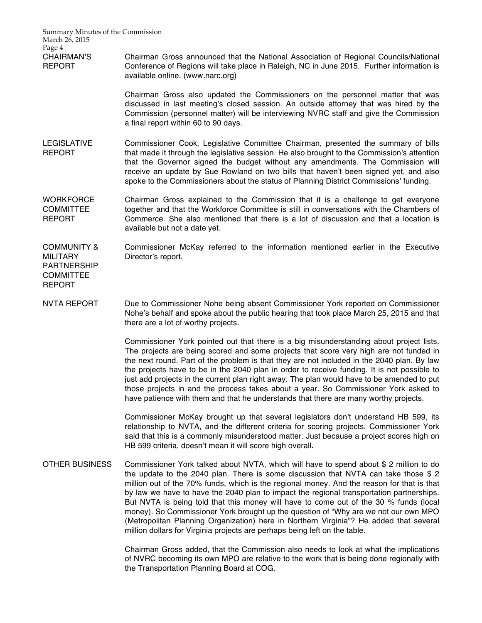Summary Minutes of the Commission March 26, 2015 Page 4 CHAIRMAN'S REPORT Chairman Gross announced that the National Association of Regional Councils/National Conference of Regions will take place in Raleigh, NC in June 2015. Further information is available online. (www.narc.org) Chairman Gross also updated the Commissioners on the personnel matter that was discussed in last meeting's closed session. An outside attorney that was hired by the Commission (personnel matter) will be interviewing NVRC staff and give the Commission a final report within 60 to 90 days. LEGISLATIVE REPORT Commissioner Cook, Legislative Committee Chairman, presented the summary of bills that made it through the legislative session. He also brought to the Commission's attention that the Governor signed the budget without any amendments. The Commission will receive an update by Sue Rowland on two bills that haven't been signed yet, and also spoke to the Commissioners about the status of Planning District Commissions' funding. **WORKFORCE COMMITTEE** REPORT Chairman Gross explained to the Commission that it is a challenge to get everyone together and that the Workforce Committee is still in conversations with the Chambers of Commerce. She also mentioned that there is a lot of discussion and that a location is available but not a date yet. COMMUNITY & **MILITARY** PARTNERSHIP **COMMITTEE** REPORT Commissioner McKay referred to the information mentioned earlier in the Executive Director's report. NVTA REPORT Due to Commissioner Nohe being absent Commissioner York reported on Commissioner Nohe's behalf and spoke about the public hearing that took place March 25, 2015 and that there are a lot of worthy projects. Commissioner York pointed out that there is a big misunderstanding about project lists. The projects are being scored and some projects that score very high are not funded in the next round. Part of the problem is that they are not included in the 2040 plan. By law the projects have to be in the 2040 plan in order to receive funding. It is not possible to just add projects in the current plan right away. The plan would have to be amended to put those projects in and the process takes about a year. So Commissioner York asked to have patience with them and that he understands that there are many worthy projects. Commissioner McKay brought up that several legislators don't understand HB 599, its relationship to NVTA, and the different criteria for scoring projects. Commissioner York said that this is a commonly misunderstood matter. Just because a project scores high on HB 599 criteria, doesn't mean it will score high overall. OTHER BUSINESS Commissioner York talked about NVTA, which will have to spend about \$ 2 million to do the update to the 2040 plan. There is some discussion that NVTA can take those \$ 2 million out of the 70% funds, which is the regional money. And the reason for that is that by law we have to have the 2040 plan to impact the regional transportation partnerships. But NVTA is being told that this money will have to come out of the 30 % funds (local money). So Commissioner York brought up the question of "Why are we not our own MPO (Metropolitan Planning Organization) here in Northern Virginia"? He added that several million dollars for Virginia projects are perhaps being left on the table.

> Chairman Gross added, that the Commission also needs to look at what the implications of NVRC becoming its own MPO are relative to the work that is being done regionally with the Transportation Planning Board at COG.